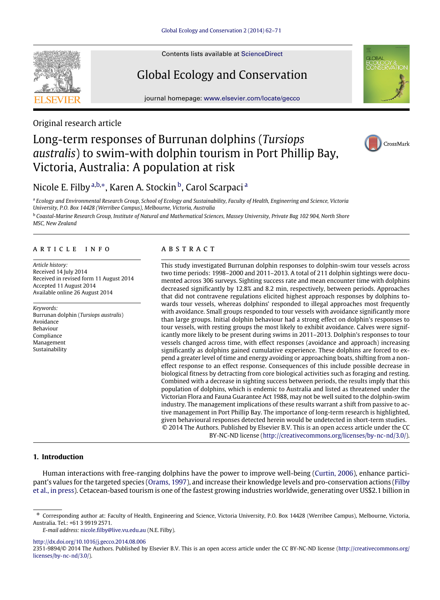Contents lists available at [ScienceDirect](http://www.elsevier.com/locate/gecco)

Global Ecology and Conservation

journal homepage: [www.elsevier.com/locate/gecco](http://www.elsevier.com/locate/gecco)

Original research article

# Long-term responses of Burrunan dolphins (*Tursiops australis*) to swim-with dolphin tourism in Port Phillip Bay, Victoria, Australia: A population at risk



## Nicole E. Filby<sup>[a](#page-0-0)[,b,](#page-0-1)\*</sup>, Karen A. Stockin<sup>b</sup>, Carol Scarpaci<sup>a</sup>

<span id="page-0-0"></span><sup>a</sup> *Ecology and Environmental Research Group, School of Ecology and Sustainability, Faculty of Health, Engineering and Science, Victoria University, P.O. Box 14428 (Werribee Campus), Melbourne, Victoria, Australia* <sup>b</sup> *Coastal-Marine Research Group, Institute of Natural and Mathematical Sciences, Massey University, Private Bag 102 904, North Shore*

<span id="page-0-1"></span>*MSC, New Zealand*

## article info

*Article history:* Received 14 July 2014 Received in revised form 11 August 2014 Accepted 11 August 2014 Available online 26 August 2014

*Keywords:* Burrunan dolphin (*Tursiops australis*) Avoidance Behaviour Compliance Management Sustainability

## abstract

This study investigated Burrunan dolphin responses to dolphin-swim tour vessels across two time periods: 1998–2000 and 2011–2013. A total of 211 dolphin sightings were documented across 306 surveys. Sighting success rate and mean encounter time with dolphins decreased significantly by 12.8% and 8.2 min, respectively, between periods. Approaches that did not contravene regulations elicited highest approach responses by dolphins towards tour vessels, whereas dolphins' responded to illegal approaches most frequently with avoidance. Small groups responded to tour vessels with avoidance significantly more than large groups. Initial dolphin behaviour had a strong effect on dolphin's responses to tour vessels, with resting groups the most likely to exhibit avoidance. Calves were significantly more likely to be present during swims in 2011–2013. Dolphin's responses to tour vessels changed across time, with effect responses (avoidance and approach) increasing significantly as dolphins gained cumulative experience. These dolphins are forced to expend a greater level of time and energy avoiding or approaching boats, shifting from a noneffect response to an effect response. Consequences of this include possible decrease in biological fitness by detracting from core biological activities such as foraging and resting. Combined with a decrease in sighting success between periods, the results imply that this population of dolphins, which is endemic to Australia and listed as threatened under the Victorian Flora and Fauna Guarantee Act 1988, may not be well suited to the dolphin-swim industry. The management implications of these results warrant a shift from passive to active management in Port Phillip Bay. The importance of long-term research is highlighted, given behavioural responses detected herein would be undetected in short-term studies. © 2014 The Authors. Published by Elsevier B.V. This is an open access article under the CC BY-NC-ND license [\(http://creativecommons.org/licenses/by-nc-nd/3.0/\)](http://creativecommons.org/licenses/by-nc-nd/3.0/).

## **1. Introduction**

Human interactions with free-ranging dolphins have the power to improve well-being [\(Curtin,](#page-8-0) [2006\)](#page-8-0), enhance participant's values for the targeted species [\(Orams,](#page-8-1) [1997\)](#page-8-1), and increase their knowledge levels and pro-conservation actions [\(Filby](#page-8-2) [et al.,](#page-8-2) [in press\)](#page-8-2). Cetacean-based tourism is one of the fastest growing industries worldwide, generating over US\$2.1 billion in

<http://dx.doi.org/10.1016/j.gecco.2014.08.006>

<span id="page-0-2"></span>Corresponding author at: Faculty of Health, Engineering and Science, Victoria University, P.O. Box 14428 (Werribee Campus), Melbourne, Victoria, Australia. Tel.: +61 3 9919 2571.

*E-mail address:* [nicole.filby@live.vu.edu.au](mailto:nicole.filby@live.vu.edu.au) (N.E. Filby).

<sup>2351-9894/</sup>© 2014 The Authors. Published by Elsevier B.V. This is an open access article under the CC BY-NC-ND license [\(http://creativecommons.org/](http://creativecommons.org/licenses/by-nc-nd/3.0/) [licenses/by-nc-nd/3.0/\)](http://creativecommons.org/licenses/by-nc-nd/3.0/).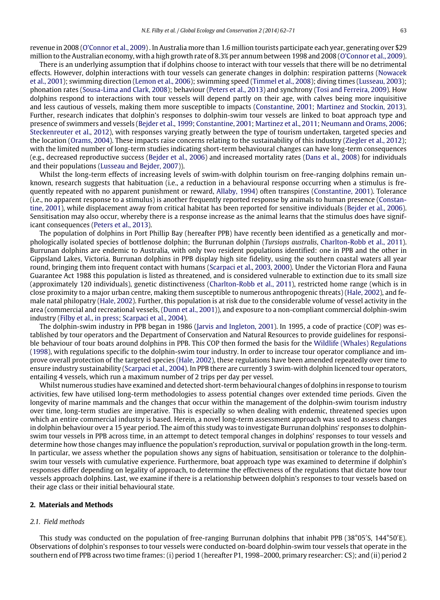revenue in 2008 [\(O'Connor](#page-8-3) [et al.,](#page-8-3) [2009\)](#page-8-3) . In Australia more than 1.6 million tourists participate each year, generating over \$29 million to the Australian economy, with a high growth rate of 8.3% per annum between 1998 and 2008 [\(O'Connor](#page-8-3) [et al.,](#page-8-3) [2009\)](#page-8-3).

There is an underlying assumption that if dolphins choose to interact with tour vessels that there will be no detrimental effects. However, dolphin interactions with tour vessels can generate changes in dolphin: respiration patterns [\(Nowacek](#page-8-4) [et al.,](#page-8-4) [2001\)](#page-8-4); swimming direction [\(Lemon](#page-8-5) [et al.,](#page-8-5) [2006\)](#page-8-5); swimming speed [\(Timmel](#page-9-0) [et al.,](#page-9-0) [2008\)](#page-9-0); diving times [\(Lusseau,](#page-8-6) [2003\)](#page-8-6); phonation rates [\(Sousa-Lima](#page-9-1) [and](#page-9-1) [Clark,](#page-9-1) [2008\)](#page-9-1); behaviour [\(Peters](#page-9-2) [et al.,](#page-9-2) [2013\)](#page-9-2) and synchrony [\(Tosi](#page-9-3) [and](#page-9-3) [Ferreira,](#page-9-3) [2009\)](#page-9-3). How dolphins respond to interactions with tour vessels will depend partly on their age, with calves being more inquisitive and less cautious of vessels, making them more susceptible to impacts [\(Constantine,](#page-8-7) [2001;](#page-8-7) [Martinez](#page-8-8) [and](#page-8-8) [Stockin,](#page-8-8) [2013\)](#page-8-8). Further, research indicates that dolphin's responses to dolphin-swim tour vessels are linked to boat approach type and presence of swimmers and vessels [\(Bejder](#page-8-9) [et al.,](#page-8-9) [1999;](#page-8-9) [Constantine,](#page-8-7) [2001;](#page-8-7) [Martinez](#page-8-10) [et al.,](#page-8-10) [2011;](#page-8-10) [Neumann](#page-8-11) [and](#page-8-11) [Orams,](#page-8-11) [2006;](#page-8-11) [Steckenreuter](#page-9-4) [et al.,](#page-9-4) [2012\)](#page-9-4), with responses varying greatly between the type of tourism undertaken, targeted species and the location [\(Orams,](#page-8-12) [2004\)](#page-8-12). These impacts raise concerns relating to the sustainability of this industry [\(Ziegler](#page-9-5) [et al.,](#page-9-5) [2012\)](#page-9-5); with the limited number of long-term studies indicating short-term behavioural changes can have long-term consequences (e.g., decreased reproductive success [\(Bejder](#page-8-13) [et al.,](#page-8-13) [2006\)](#page-8-13) and increased mortality rates [\(Dans](#page-8-14) [et al.,](#page-8-14) [2008\)](#page-8-14) for individuals and their populations [\(Lusseau](#page-8-15) [and](#page-8-15) [Bejder,](#page-8-15) [2007\)](#page-8-15)).

Whilst the long-term effects of increasing levels of swim-with dolphin tourism on free-ranging dolphins remain unknown, research suggests that habituation (i.e., a reduction in a behavioural response occurring when a stimulus is frequently repeated with no apparent punishment or reward, [Allaby,](#page-8-16) [1994\)](#page-8-16) often transpires [\(Constantine,](#page-8-7) [2001\)](#page-8-7). Tolerance [\(](#page-8-7)i.e., no apparent response to a stimulus) is another frequently reported response by animals to human presence [\(Constan](#page-8-7)[tine,](#page-8-7) [2001\)](#page-8-7), while displacement away from critical habitat has been reported for sensitive individuals [\(Bejder](#page-8-13) [et al.,](#page-8-13) [2006\)](#page-8-13). Sensitisation may also occur, whereby there is a response increase as the animal learns that the stimulus does have significant consequences [\(Peters](#page-9-2) [et al.,](#page-9-2) [2013\)](#page-9-2).

The population of dolphins in Port Phillip Bay (hereafter PPB) have recently been identified as a genetically and morphologically isolated species of bottlenose dolphin; the Burrunan dolphin (*Tursiops australis*, [Charlton-Robb](#page-8-17) [et al.,](#page-8-17) [2011\)](#page-8-17). Burrunan dolphins are endemic to Australia, with only two resident populations identified: one in PPB and the other in Gippsland Lakes, Victoria. Burrunan dolphins in PPB display high site fidelity, using the southern coastal waters all year round, bringing them into frequent contact with humans [\(Scarpaci](#page-9-6) [et al.,](#page-9-6) [2003,](#page-9-6) [2000\)](#page-9-6). Under the Victorian Flora and Fauna Guarantee Act 1988 this population is listed as threatened, and is considered vulnerable to extinction due to its small size (approximately 120 individuals), genetic distinctiveness [\(Charlton-Robb](#page-8-17) [et al.,](#page-8-17) [2011\)](#page-8-17), restricted home range (which is in close proximity to a major urban centre, making them susceptible to numerous anthropogenic threats) [\(Hale,](#page-8-18) [2002\)](#page-8-18), and female natal philopatry [\(Hale,](#page-8-18) [2002\)](#page-8-18). Further, this population is at risk due to the considerable volume of vessel activity in the area (commercial and recreational vessels, [\(Dunn](#page-8-19) [et al.,](#page-8-19) [2001\)](#page-8-19)), and exposure to a non-compliant commercial dolphin-swim industry [\(Filby](#page-8-2) [et al.,](#page-8-2) [in press;](#page-8-2) [Scarpaci](#page-9-7) [et al.,](#page-9-7) [2004\)](#page-9-7).

The dolphin-swim industry in PPB began in 1986 [\(Jarvis](#page-8-20) [and](#page-8-20) [Ingleton,](#page-8-20) [2001\)](#page-8-20). In 1995, a code of practice (COP) was established by tour operators and the Department of Conservation and Natural Resources to provide guidelines for responsible behaviour of tour boats around dolphins in PPB. This COP then formed the basis for the [Wildlife](#page-9-8) [\(Whales\) Regulations](#page-9-8) [\(1998\)](#page-9-8), with regulations specific to the dolphin-swim tour industry. In order to increase tour operator compliance and improve overall protection of the targeted species [\(Hale,](#page-8-18) [2002\)](#page-8-18), these regulations have been amended repeatedly over time to ensure industry sustainability [\(Scarpaci](#page-9-7) [et al.,](#page-9-7) [2004\)](#page-9-7). In PPB there are currently 3 swim-with dolphin licenced tour operators, entailing 4 vessels, which run a maximum number of 2 trips per day per vessel.

Whilst numerous studies have examined and detected short-term behavioural changes of dolphins in response to tourism activities, few have utilised long-term methodologies to assess potential changes over extended time periods. Given the longevity of marine mammals and the changes that occur within the management of the dolphin-swim tourism industry over time, long-term studies are imperative. This is especially so when dealing with endemic, threatened species upon which an entire commercial industry is based. Herein, a novel long-term assessment approach was used to assess changes in dolphin behaviour over a 15 year period. The aim of this study was to investigate Burrunan dolphins' responses to dolphinswim tour vessels in PPB across time, in an attempt to detect temporal changes in dolphins' responses to tour vessels and determine how those changes may influence the population's reproduction, survival or population growth in the long-term. In particular, we assess whether the population shows any signs of habituation, sensitisation or tolerance to the dolphinswim tour vessels with cumulative experience. Furthermore, boat approach type was examined to determine if dolphin's responses differ depending on legality of approach, to determine the effectiveness of the regulations that dictate how tour vessels approach dolphins. Last, we examine if there is a relationship between dolphin's responses to tour vessels based on their age class or their initial behavioural state.

#### **2. Materials and Methods**

#### *2.1. Field methods*

This study was conducted on the population of free-ranging Burrunan dolphins that inhabit PPB (38°05′S, 144°50′E). Observations of dolphin's responses to tour vessels were conducted on-board dolphin-swim tour vessels that operate in the southern end of PPB across two time frames: (i) period 1 (hereafter P1, 1998–2000, primary researcher: CS); and (ii) period 2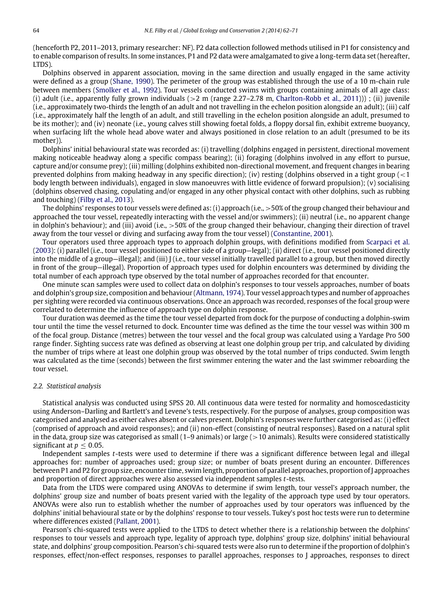(henceforth P2, 2011–2013, primary researcher: NF). P2 data collection followed methods utilised in P1 for consistency and to enable comparison of results. In some instances, P1 and P2 data were amalgamated to give a long-term data set (hereafter, LTDS).

Dolphins observed in apparent association, moving in the same direction and usually engaged in the same activity were defined as a group [\(Shane,](#page-9-9) [1990\)](#page-9-9). The perimeter of the group was established through the use of a 10 m-chain rule between members [\(Smolker](#page-9-10) [et al.,](#page-9-10) [1992\)](#page-9-10). Tour vessels conducted swims with groups containing animals of all age class: (i) adult (i.e., apparently fully grown individuals (*>*2 m (range 2.27–2.78 m, [Charlton-Robb](#page-8-17) [et al.,](#page-8-17) [2011\)](#page-8-17))) ; (ii) juvenile (i.e., approximately two-thirds the length of an adult and not travelling in the echelon position alongside an adult); (iii) calf (i.e., approximately half the length of an adult, and still travelling in the echelon position alongside an adult, presumed to be its mother); and (iv) neonate (i.e., young calves still showing foetal folds, a floppy dorsal fin, exhibit extreme buoyancy, when surfacing lift the whole head above water and always positioned in close relation to an adult (presumed to be its mother)).

Dolphins' initial behavioural state was recorded as: (i) travelling (dolphins engaged in persistent, directional movement making noticeable headway along a specific compass bearing); (ii) foraging (dolphins involved in any effort to pursue, capture and/or consume prey); (iii) milling (dolphins exhibited non-directional movement, and frequent changes in bearing prevented dolphins from making headway in any specific direction); (iv) resting (dolphins observed in a tight group (*<*1 body length between individuals), engaged in slow manoeuvres with little evidence of forward propulsion); (v) socialising (dolphins observed chasing, copulating and/or engaged in any other physical contact with other dolphins, such as rubbing and touching) [\(Filby](#page-8-21) [et al.,](#page-8-21) [2013\)](#page-8-21).

The dolphins' responses to tour vessels were defined as: (i) approach (i.e., *>*50% of the group changed their behaviour and approached the tour vessel, repeatedly interacting with the vessel and/or swimmers); (ii) neutral (i.e., no apparent change in dolphin's behaviour); and (iii) avoid (i.e., *>*50% of the group changed their behaviour, changing their direction of travel away from the tour vessel or diving and surfacing away from the tour vessel) [\(Constantine,](#page-8-7) [2001\)](#page-8-7).

Tour operators used three approach types to approach dolphin groups, with definitions modified from [Scarpaci](#page-9-6) [et al.](#page-9-6) [\(2003\)](#page-9-6): (i) parallel (i.e., tour vessel positioned to either side of a group—legal); (ii) direct (i.e., tour vessel positioned directly into the middle of a group—illegal); and (iii) J (i.e., tour vessel initially travelled parallel to a group, but then moved directly in front of the group—illegal). Proportion of approach types used for dolphin encounters was determined by dividing the total number of each approach type observed by the total number of approaches recorded for that encounter.

One minute scan samples were used to collect data on dolphin's responses to tour vessels approaches, number of boats and dolphin's group size, composition and behaviour [\(Altmann,](#page-8-22) [1974\)](#page-8-22). Tour vessel approach types and number of approaches per sighting were recorded via continuous observations. Once an approach was recorded, responses of the focal group were correlated to determine the influence of approach type on dolphin response.

Tour duration was deemed as the time the tour vessel departed from dock for the purpose of conducting a dolphin-swim tour until the time the vessel returned to dock. Encounter time was defined as the time the tour vessel was within 300 m of the focal group. Distance (metres) between the tour vessel and the focal group was calculated using a Yardage Pro 500 range finder. Sighting success rate was defined as observing at least one dolphin group per trip, and calculated by dividing the number of trips where at least one dolphin group was observed by the total number of trips conducted. Swim length was calculated as the time (seconds) between the first swimmer entering the water and the last swimmer reboarding the tour vessel.

#### *2.2. Statistical analysis*

Statistical analysis was conducted using SPSS 20. All continuous data were tested for normality and homoscedasticity using Anderson–Darling and Bartlett's and Levene's tests, respectively. For the purpose of analyses, group composition was categorised and analysed as either calves absent or calves present. Dolphin's responses were further categorised as: (i) effect (comprised of approach and avoid responses); and (ii) non-effect (consisting of neutral responses). Based on a natural split in the data, group size was categorised as small (1–9 animals) or large (*>*10 animals). Results were considered statistically significant at  $p < 0.05$ .

Independent samples *t*-tests were used to determine if there was a significant difference between legal and illegal approaches for: number of approaches used; group size; or number of boats present during an encounter. Differences between P1 and P2 for group size, encounter time, swim length, proportion of parallel approaches, proportion of J approaches and proportion of direct approaches were also assessed via independent samples *t*-tests.

Data from the LTDS were compared using ANOVAs to determine if swim length, tour vessel's approach number, the dolphins' group size and number of boats present varied with the legality of the approach type used by tour operators. ANOVAs were also run to establish whether the number of approaches used by tour operators was influenced by the dolphins' initial behavioural state or by the dolphins' response to tour vessels. Tukey's post hoc tests were run to determine where differences existed [\(Pallant,](#page-8-23) [2001\)](#page-8-23).

Pearson's chi-squared tests were applied to the LTDS to detect whether there is a relationship between the dolphins' responses to tour vessels and approach type, legality of approach type, dolphins' group size, dolphins' initial behavioural state, and dolphins' group composition. Pearson's chi-squared tests were also run to determine if the proportion of dolphin's responses, effect/non-effect responses, responses to parallel approaches, responses to J approaches, responses to direct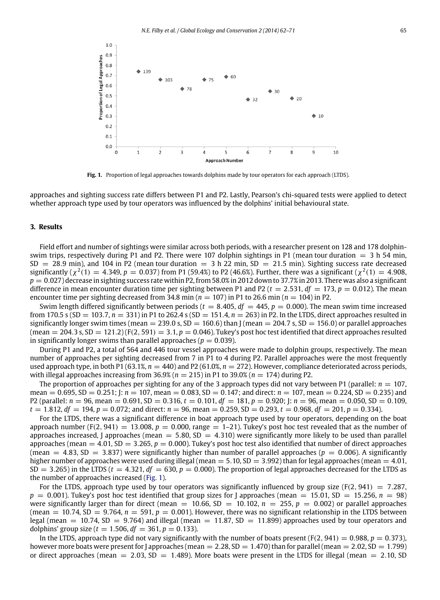<span id="page-3-0"></span>

**Fig. 1.** Proportion of legal approaches towards dolphins made by tour operators for each approach (LTDS).

approaches and sighting success rate differs between P1 and P2. Lastly, Pearson's chi-squared tests were applied to detect whether approach type used by tour operators was influenced by the dolphins' initial behavioural state.

## **3. Results**

Field effort and number of sightings were similar across both periods, with a researcher present on 128 and 178 dolphinswim trips, respectively during P1 and P2. There were 107 dolphin sightings in P1 (mean tour duration  $= 3$  h 54 min,  $SD = 28.9$  min), and 104 in P2 (mean tour duration  $= 3$  h 22 min,  $SD = 21.5$  min). Sighting success rate decreased significantly ( $\chi^2(1) = 4.349$ ,  $p = 0.037$ ) from P1 (59.4%) to P2 (46.6%). Further, there was a significant ( $\chi^2(1) = 4.908$ , *<sup>p</sup>* = <sup>0</sup>*.*027) decrease in sighting success rate within P2, from 58.0% in 2012 down to 37.7% in 2013. There was also a significant difference in mean encounter duration time per sighting between P1 and P2 ( $t = 2.531$ ,  $df = 173$ ,  $p = 0.012$ ). The mean encounter time per sighting decreased from 34.8 min ( $n = 107$ ) in P1 to 26.6 min ( $n = 104$ ) in P2.

Swim length differed significantly between periods ( $t = 8.405$ ,  $df = 445$ ,  $p = 0.000$ ). The mean swim time increased from 170.5 s (SD = 103.7,  $n = 331$ ) in P1 to 262.4 s (SD = 151.4,  $n = 263$ ) in P2. In the LTDS, direct approaches resulted in significantly longer swim times (mean  $= 239.0$  s,  $SD = 160.6$ ) than J (mean  $= 204.7$  s,  $SD = 156.0$ ) or parallel approaches  $(\text{mean} = 204.3 \text{ s}, SD = 121.2)$   $(F(2, 591) = 3.1, p = 0.046)$ . Tukey's post hoc test identified that direct approaches resulted in significantly longer swims than parallel approaches ( $p = 0.039$ ).

During P1 and P2, a total of 564 and 446 tour vessel approaches were made to dolphin groups, respectively. The mean number of approaches per sighting decreased from 7 in P1 to 4 during P2. Parallel approaches were the most frequently used approach type, in both P1 (63.1%,  $n = 440$ ) and P2 (61.0%,  $n = 272$ ). However, compliance deteriorated across periods, with illegal approaches increasing from 36.9% (*n* = 215) in P1 to 39.0% (*n* = 174) during P2.

The proportion of approaches per sighting for any of the 3 approach types did not vary between P1 (parallel:  $n = 107$ , mean = <sup>0</sup>*.*695, SD = <sup>0</sup>*.*251; J: *<sup>n</sup>* = 107, mean = <sup>0</sup>*.*083, SD = <sup>0</sup>*.*147; and direct: *<sup>n</sup>* = 107, mean = <sup>0</sup>*.*224, SD = <sup>0</sup>*.*235) and P2 (parallel: *<sup>n</sup>* = 96, mean = <sup>0</sup>*.*691, SD = <sup>0</sup>*.*316, *<sup>t</sup>* = <sup>0</sup>*.*101, *df* = 181, *<sup>p</sup>* = <sup>0</sup>*.*920; J: *<sup>n</sup>* = 96, mean = <sup>0</sup>*.*050, SD = <sup>0</sup>*.*109,  $t = 1.812$ ,  $df = 194$ ,  $p = 0.072$ ; and direct:  $n = 96$ , mean  $= 0.259$ ,  $SD = 0.293$ ,  $t = 0.968$ ,  $df = 201$ ,  $p = 0.334$ ).

For the LTDS, there was a significant difference in boat approach type used by tour operators, depending on the boat approach number ( $F(2, 941) = 13.008$ ,  $p = 0.000$ , range = 1-21). Tukey's post hoc test revealed that as the number of approaches increased, J approaches (mean = <sup>5</sup>*.*80, SD = <sup>4</sup>*.*310) were significantly more likely to be used than parallel approaches (mean  $= 4.01$ , SD  $= 3.265$ ,  $p = 0.000$ ). Tukey's post hoc test also identified that number of direct approaches (mean  $= 4.83$ , SD  $= 3.837$ ) were significantly higher than number of parallel approaches ( $p = 0.006$ ). A significantly higher number of approaches were used during illegal (mean = <sup>5</sup>*.*10, SD = <sup>3</sup>*.*992) than for legal approaches (mean = <sup>4</sup>*.*01,  $SD = 3.265$ ) in the LTDS ( $t = 4.321$ ,  $df = 630$ ,  $p = 0.000$ ). The proportion of legal approaches decreased for the LTDS as the number of approaches increased [\(Fig. 1\)](#page-3-0).

For the LTDS, approach type used by tour operators was significantly influenced by group size (F*(*2*,* <sup>941</sup>*)* = <sup>7</sup>*.*287,  $p = 0.001$ ). Tukey's post hoc test identified that group sizes for J approaches (mean  $= 15.01$ , SD  $= 15.256$ ,  $n = 98$ ) were significantly larger than for direct (mean =  $10.66$ , SD =  $10.102$ ,  $n = 255$ ,  $p = 0.002$ ) or parallel approaches (mean  $= 10.74$ , SD  $= 9.764$ ,  $n = 591$ ,  $p = 0.001$ ). However, there was no significant relationship in the LTDS between legal (mean  $= 10.74$ , SD  $= 9.764$ ) and illegal (mean  $= 11.87$ , SD  $= 11.899$ ) approaches used by tour operators and dolphins' group size ( $t = 1.506$ ,  $df = 361$ ,  $p = 0.133$ ).

In the LTDS, approach type did not vary significantly with the number of boats present ( $F(2, 941) = 0.988$ ,  $p = 0.373$ ), however more boats were present for J approaches (mean  $= 2.28$ , SD  $= 1.470$ ) than for parallel (mean  $= 2.02$ , SD  $= 1.799$ ) or direct approaches (mean  $= 2.03$ , SD  $= 1.489$ ). More boats were present in the LTDS for illegal (mean  $= 2.10$ , SD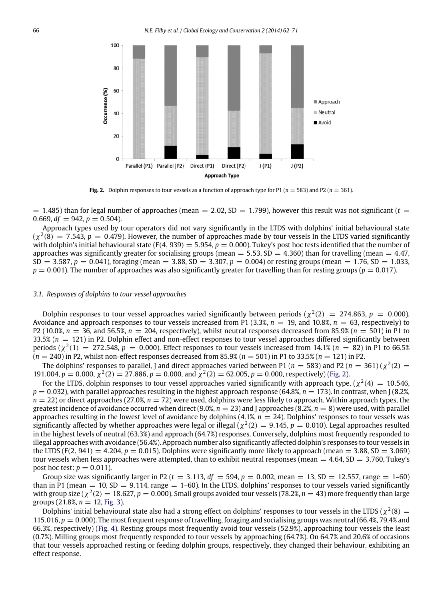<span id="page-4-0"></span>

**Fig. 2.** Dolphin responses to tour vessels as a function of approach type for P1 ( $n = 583$ ) and P2 ( $n = 361$ ).

 $= 1.485$ ) than for legal number of approaches (mean  $= 2.02$ , SD  $= 1.799$ ), however this result was not significant (*t*  $=$ 0.669,  $df = 942$ ,  $p = 0.504$ ).

Approach types used by tour operators did not vary significantly in the LTDS with dolphins' initial behavioural state  $(\chi^2(8) = 7.543, p = 0.479)$ . However, the number of approaches made by tour vessels In the LTDS varied significantly with dolphin's initial behavioural state (F(4, 939) = 5.954,  $p = 0.000$ ). Tukey's post hoc tests identified that the number of approaches was significantly greater for socialising groups (mean  $= 5.53$ , SD  $= 4.360$ ) than for travelling (mean  $= 4.47$ ,  $SD = 3.587$ ,  $p = 0.041$ ), foraging (mean = 3.88,  $SD = 3.307$ ,  $p = 0.004$ ) or resting groups (mean = 1.76,  $SD = 1.033$ ,  $p = 0.001$ ). The number of approaches was also significantly greater for travelling than for resting groups ( $p = 0.017$ ).

#### *3.1. Responses of dolphins to tour vessel approaches*

Dolphin responses to tour vessel approaches varied significantly between periods ( $\chi^2(2) = 274.863$ ,  $p = 0.000$ ). Avoidance and approach responses to tour vessels increased from P1 (3.3%,  $n = 19$ , and 10.8%,  $n = 63$ , respectively) to P2 (10.0%, *n* = 36, and 56.5%, *n* = 204, respectively), whilst neutral responses decreased from 85.9% (*n* = 501) in P1 to 33.5% (*n* = 121) in P2. Dolphin effect and non-effect responses to tour vessel approaches differed significantly between periods ( $\chi^2(1) = 272.548$ ,  $p = 0.000$ ). Effect responses to tour vessels increased from 14.1% ( $n = 82$ ) in P1 to 66.5% (*n* = 240) in P2, whilst non-effect responses decreased from 85.9% (*n* = 501) in P1 to 33.5% (*n* = 121) in P2.

The dolphins' responses to parallel, J and direct approaches varied between P1 ( $n = 583$ ) and P2 ( $n = 361$ ) ( $\chi^2(2) =$ 191.004,  $p = 0.000$ ,  $\chi^2(2) = 27.886$ ,  $p = 0.000$ , and  $\chi^2(2) = 62.005$ ,  $p = 0.000$ , respectively) [\(Fig. 2\)](#page-4-0).

For the LTDS, dolphin responses to tour vessel approaches varied significantly with approach type,  $\chi^2(4) = 10.546$ ,  $p = 0.032$ ), with parallel approaches resulting in the highest approach response (64.8%,  $n = 173$ ). In contrast, when J (8.2%,  $n = 22$ ) or direct approaches (27.0%,  $n = 72$ ) were used, dolphins were less likely to approach. Within approach types, the greatest incidence of avoidance occurred when direct  $(9.0%, n = 23)$  and J approaches  $(8.2%, n = 8)$  were used, with parallel approaches resulting in the lowest level of avoidance by dolphins  $(4.1%, n = 24)$ . Dolphins' responses to tour vessels was significantly affected by whether approaches were legal or illegal ( $\chi^2(2) = 9.145$ ,  $p = 0.010$ ). Legal approaches resulted in the highest levels of neutral (63.3%) and approach (64.7%) responses. Conversely, dolphins most frequently responded to illegal approaches with avoidance (56.4%). Approach number also significantly affected dolphin's responses to tour vessels in the LTDS (F(2, 941) = 4.204,  $p = 0.015$ ). Dolphins were significantly more likely to approach (mean = 3.88, SD = 3.069) tour vessels when less approaches were attempted, than to exhibit neutral responses (mean  $= 4.64$ , SD  $= 3.760$ , Tukey's post hoc test:  $p = 0.011$ ).

Group size was significantly larger in P2 ( $t = 3.113$ ,  $df = 594$ ,  $p = 0.002$ , mean = 13, SD = 12.557, range = 1-60) than in P1 (mean  $= 10$ , SD  $= 9.114$ , range  $= 1$ –60). In the LTDS, dolphins' responses to tour vessels varied significantly with group size ( $\chi^2(2) = 18.627$ ,  $p = 0.000$ ). Small groups avoided tour vessels (78.2%,  $n = 43$ ) more frequently than large groups  $(21.8\%, n = 12, Fig. 3)$  $(21.8\%, n = 12, Fig. 3)$ .

Dolphins' initial behavioural state also had a strong effect on dolphins' responses to tour vessels in the LTDS ( $\chi^2(8)$  = <sup>115</sup>*.*016, *<sup>p</sup>* = <sup>0</sup>*.*000). The most frequent response of travelling, foraging and socialising groups was neutral (66.4%, 79.4% and 66.3%, respectively) [\(Fig. 4\)](#page-5-1). Resting groups most frequently avoid tour vessels (52.9%), approaching tour vessels the least (0.7%). Milling groups most frequently responded to tour vessels by approaching (64.7%). On 64.7% and 20.6% of occasions that tour vessels approached resting or feeding dolphin groups, respectively, they changed their behaviour, exhibiting an effect response.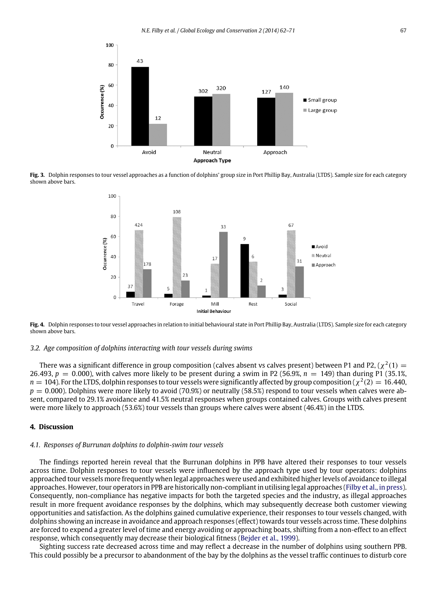<span id="page-5-0"></span>

<span id="page-5-1"></span>**Fig. 3.** Dolphin responses to tour vessel approaches as a function of dolphins' group size in Port Phillip Bay, Australia (LTDS). Sample size for each category shown above bars.



**Fig. 4.** Dolphin responses to tour vessel approaches in relation to initial behavioural state in Port Phillip Bay, Australia (LTDS). Sample size for each category shown above bars.

## *3.2. Age composition of dolphins interacting with tour vessels during swims*

There was a significant difference in group composition (calves absent vs calves present) between P1 and P2,  $(\chi^2(1)$  = 26.493,  $p = 0.000$ ), with calves more likely to be present during a swim in P2 (56.9%,  $n = 149$ ) than during P1 (35.1%,  $n = 104$ ). For the LTDS, dolphin responses to tour vessels were significantly affected by group composition ( $\chi^2(2) = 16.440$ , *<sup>p</sup>* = <sup>0</sup>*.*000). Dolphins were more likely to avoid (70.9%) or neutrally (58.5%) respond to tour vessels when calves were absent, compared to 29.1% avoidance and 41.5% neutral responses when groups contained calves. Groups with calves present were more likely to approach (53.6%) tour vessels than groups where calves were absent (46.4%) in the LTDS.

#### **4. Discussion**

### *4.1. Responses of Burrunan dolphins to dolphin-swim tour vessels*

The findings reported herein reveal that the Burrunan dolphins in PPB have altered their responses to tour vessels across time. Dolphin responses to tour vessels were influenced by the approach type used by tour operators: dolphins approached tour vessels more frequently when legal approaches were used and exhibited higher levels of avoidance to illegal approaches. However, tour operators in PPB are historically non-compliant in utilising legal approaches [\(Filby](#page-8-2) [et al.,](#page-8-2) [in press\)](#page-8-2). Consequently, non-compliance has negative impacts for both the targeted species and the industry, as illegal approaches result in more frequent avoidance responses by the dolphins, which may subsequently decrease both customer viewing opportunities and satisfaction. As the dolphins gained cumulative experience, their responses to tour vessels changed, with dolphins showing an increase in avoidance and approach responses (effect) towards tour vessels across time. These dolphins are forced to expend a greater level of time and energy avoiding or approaching boats, shifting from a non-effect to an effect response, which consequently may decrease their biological fitness [\(Bejder](#page-8-9) [et al.,](#page-8-9) [1999\)](#page-8-9).

Sighting success rate decreased across time and may reflect a decrease in the number of dolphins using southern PPB. This could possibly be a precursor to abandonment of the bay by the dolphins as the vessel traffic continues to disturb core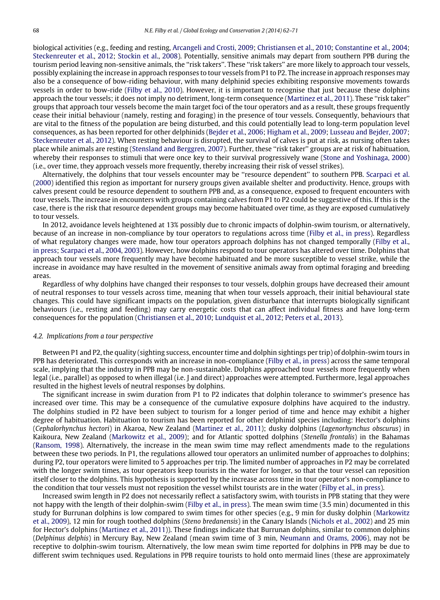biological activities (e.g., feeding and resting, [Arcangeli](#page-8-24) [and](#page-8-24) [Crosti,](#page-8-24) [2009;](#page-8-24) [Christiansen](#page-8-25) [et al.,](#page-8-25) [2010;](#page-8-25) [Constantine](#page-8-26) [et al.,](#page-8-26) [2004;](#page-8-26) [Steckenreuter](#page-9-4) [et al.,](#page-9-4) [2012;](#page-9-4) [Stockin](#page-9-11) [et al.,](#page-9-11) [2008\)](#page-9-11). Potentially, sensitive animals may depart from southern PPB during the tourism period leaving non-sensitive animals, the ''risk takers''. These ''risk takers'' are more likely to approach tour vessels, possibly explaining the increase in approach responses to tour vessels from P1 to P2. The increase in approach responses may also be a consequence of bow-riding behaviour, with many delphinid species exhibiting responsive movements towards vessels in order to bow-ride [\(Filby](#page-8-27) [et al.,](#page-8-27) [2010\)](#page-8-27). However, it is important to recognise that just because these dolphins approach the tour vessels; it does not imply no detriment, long-term consequence [\(Martinez](#page-8-10) [et al.,](#page-8-10) [2011\)](#page-8-10). These "risk taker" groups that approach tour vessels become the main target foci of the tour operators and as a result, these groups frequently cease their initial behaviour (namely, resting and foraging) in the presence of tour vessels. Consequently, behaviours that are vital to the fitness of the population are being disturbed, and this could potentially lead to long-term population level consequences, as has been reported for other delphinids [\(Bejder](#page-8-13) [et al.,](#page-8-13) [2006;](#page-8-13) [Higham](#page-8-28) [et al.,](#page-8-28) [2009;](#page-8-28) [Lusseau](#page-8-15) [and](#page-8-15) [Bejder,](#page-8-15) [2007;](#page-8-15) [Steckenreuter](#page-9-4) [et al.,](#page-9-4) [2012\)](#page-9-4). When resting behaviour is disrupted, the survival of calves is put at risk, as nursing often takes place while animals are resting [\(Stensland](#page-9-12) [and](#page-9-12) [Berggren,](#page-9-12) [2007\)](#page-9-12). Further, these ''risk taker'' groups are at risk of habituation, whereby their responses to stimuli that were once key to their survival progressively wane [\(Stone](#page-9-13) [and](#page-9-13) [Yoshinaga,](#page-9-13) [2000\)](#page-9-13) (i.e., over time, they approach vessels more frequently, thereby increasing their risk of vessel strikes).

Alternatively, the dolphins that tour vessels encounter may be ''resource dependent'' to southern PPB. [Scarpaci](#page-9-14) [et al.](#page-9-14) [\(2000\)](#page-9-14) identified this region as important for nursery groups given available shelter and productivity. Hence, groups with calves present could be resource dependent to southern PPB and, as a consequence, exposed to frequent encounters with tour vessels. The increase in encounters with groups containing calves from P1 to P2 could be suggestive of this. If this is the case, there is the risk that resource dependent groups may become habituated over time, as they are exposed cumulatively to tour vessels.

In 2012, avoidance levels heightened at 13% possibly due to chronic impacts of dolphin-swim tourism, or alternatively, because of an increase in non-compliance by tour operators to regulations across time [\(Filby](#page-8-2) [et al.,](#page-8-2) [in press\)](#page-8-2). Regardless of what regulatory changes were made, how tour operators approach dolphins has not changed temporally [\(Filby](#page-8-2) [et al.,](#page-8-2) [in press;](#page-8-2) [Scarpaci](#page-9-7) [et al.,](#page-9-7) [2004,](#page-9-7) [2003\)](#page-9-7). However, how dolphins respond to tour operators has altered over time. Dolphins that approach tour vessels more frequently may have become habituated and be more susceptible to vessel strike, while the increase in avoidance may have resulted in the movement of sensitive animals away from optimal foraging and breeding areas.

Regardless of why dolphins have changed their responses to tour vessels, dolphin groups have decreased their amount of neutral responses to tour vessels across time, meaning that when tour vessels approach, their initial behavioural state changes. This could have significant impacts on the population, given disturbance that interrupts biologically significant behaviours (i.e., resting and feeding) may carry energetic costs that can affect individual fitness and have long-term consequences for the population [\(Christiansen](#page-8-25) [et al.,](#page-8-25) [2010;](#page-8-25) [Lundquist](#page-8-29) [et al.,](#page-8-29) [2012;](#page-8-29) [Peters](#page-9-2) [et al.,](#page-9-2) [2013\)](#page-9-2).

#### *4.2. Implications from a tour perspective*

Between P1 and P2, the quality (sighting success, encounter time and dolphin sightings per trip) of dolphin-swim tours in PPB has deteriorated. This corresponds with an increase in non-compliance [\(Filby](#page-8-2) [et al.,](#page-8-2) [in press\)](#page-8-2) across the same temporal scale, implying that the industry in PPB may be non-sustainable. Dolphins approached tour vessels more frequently when legal (i.e., parallel) as opposed to when illegal (i.e. J and direct) approaches were attempted. Furthermore, legal approaches resulted in the highest levels of neutral responses by dolphins.

The significant increase in swim duration from P1 to P2 indicates that dolphin tolerance to swimmer's presence has increased over time. This may be a consequence of the cumulative exposure dolphins have acquired to the industry. The dolphins studied in P2 have been subject to tourism for a longer period of time and hence may exhibit a higher degree of habituation. Habituation to tourism has been reported for other delphinid species including: Hector's dolphins (*Cephalorhynchus hectori*) in Akaroa, New Zealand [\(Martinez](#page-8-10) [et al.,](#page-8-10) [2011\)](#page-8-10); dusky dolphins (*Lagenorhynchus obscurus*) in Kaikoura, New Zealand [\(Markowitz](#page-8-30) [et al.,](#page-8-30) [2009\)](#page-8-30); and for Atlantic spotted dolphins (*Stenella frontalis*) in the Bahamas [\(Ransom,](#page-9-15) [1998\)](#page-9-15). Alternatively, the increase in the mean swim time may reflect amendments made to the regulations between these two periods. In P1, the regulations allowed tour operators an unlimited number of approaches to dolphins; during P2, tour operators were limited to 5 approaches per trip. The limited number of approaches in P2 may be correlated with the longer swim times, as tour operators keep tourists in the water for longer, so that the tour vessel can reposition itself closer to the dolphins. This hypothesis is supported by the increase across time in tour operator's non-compliance to the condition that tour vessels must not reposition the vessel whilst tourists are in the water [\(Filby](#page-8-2) [et al.,](#page-8-2) [in press\)](#page-8-2).

Increased swim length in P2 does not necessarily reflect a satisfactory swim, with tourists in PPB stating that they were not happy with the length of their dolphin-swim [\(Filby](#page-8-2) [et al.,](#page-8-2) [in press\)](#page-8-2). The mean swim time (3.5 min) documented in this study for Burrunan dolphins is low compared to swim times for other species (e.g., 9 min for dusky dolphin [\(Markowitz](#page-8-30) [et al.,](#page-8-30) [2009\)](#page-8-30), 12 min for rough toothed dolphins (*Steno bredanensis*) in the Canary Islands [\(Nichols](#page-8-31) [et al.,](#page-8-31) [2002\)](#page-8-31) and 25 min for Hector's dolphins [\(Martinez](#page-8-10) [et al.,](#page-8-10) [2011\)](#page-8-10)). These findings indicate that Burrunan dolphins, similar to common dolphins (*Delphinus delphis*) in Mercury Bay, New Zealand (mean swim time of 3 min, [Neumann](#page-8-11) [and](#page-8-11) [Orams,](#page-8-11) [2006\)](#page-8-11), may not be receptive to dolphin-swim tourism. Alternatively, the low mean swim time reported for dolphins in PPB may be due to different swim techniques used. Regulations in PPB require tourists to hold onto mermaid lines (these are approximately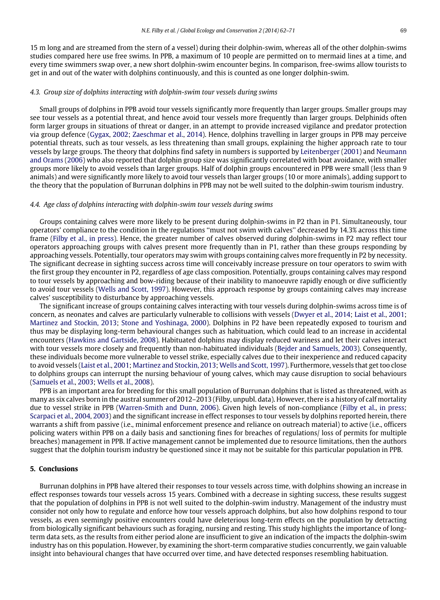15 m long and are streamed from the stern of a vessel) during their dolphin-swim, whereas all of the other dolphin-swims studies compared here use free swims. In PPB, a maximum of 10 people are permitted on to mermaid lines at a time, and every time swimmers swap over, a new short dolphin-swim encounter begins. In comparison, free-swims allow tourists to get in and out of the water with dolphins continuously, and this is counted as one longer dolphin-swim.

## *4.3. Group size of dolphins interacting with dolphin-swim tour vessels during swims*

Small groups of dolphins in PPB avoid tour vessels significantly more frequently than larger groups. Smaller groups may see tour vessels as a potential threat, and hence avoid tour vessels more frequently than larger groups. Delphinids often form larger groups in situations of threat or danger, in an attempt to provide increased vigilance and predator protection via group defence [\(Gygax,](#page-8-32) [2002;](#page-8-32) [Zaeschmar](#page-9-16) [et al.,](#page-9-16) [2014\)](#page-9-16). Hence, dolphins travelling in larger groups in PPB may perceive potential threats, such as tour vessels, as less threatening than small groups, explaining the higher approach rate to tour vessels by large groups. The theory that dolphins find safety in numbers is supported by [Leitenberger](#page-8-33) [\(2001\)](#page-8-33) and [Neumann](#page-8-11) [and](#page-8-11) [Orams](#page-8-11) [\(2006\)](#page-8-11) who also reported that dolphin group size was significantly correlated with boat avoidance, with smaller groups more likely to avoid vessels than larger groups. Half of dolphin groups encountered in PPB were small (less than 9 animals) and were significantly more likely to avoid tour vessels than larger groups (10 or more animals), adding support to the theory that the population of Burrunan dolphins in PPB may not be well suited to the dolphin-swim tourism industry.

## *4.4. Age class of dolphins interacting with dolphin-swim tour vessels during swims*

Groups containing calves were more likely to be present during dolphin-swims in P2 than in P1. Simultaneously, tour operators' compliance to the condition in the regulations ''must not swim with calves'' decreased by 14.3% across this time frame [\(Filby](#page-8-2) [et al.,](#page-8-2) [in press\)](#page-8-2). Hence, the greater number of calves observed during dolphin-swims in P2 may reflect tour operators approaching groups with calves present more frequently than in P1, rather than these groups responding by approaching vessels. Potentially, tour operators may swim with groups containing calves more frequently in P2 by necessity. The significant decrease in sighting success across time will conceivably increase pressure on tour operators to swim with the first group they encounter in P2, regardless of age class composition. Potentially, groups containing calves may respond to tour vessels by approaching and bow-riding because of their inability to manoeuvre rapidly enough or dive sufficiently to avoid tour vessels [\(Wells](#page-9-17) [and](#page-9-17) [Scott,](#page-9-17) [1997\)](#page-9-17). However, this approach response by groups containing calves may increase calves' susceptibility to disturbance by approaching vessels.

The significant increase of groups containing calves interacting with tour vessels during dolphin-swims across time is of concern, as neonates and calves are particularly vulnerable to collisions with vessels [\(Dwyer](#page-8-34) [et al.,](#page-8-34) [2014;](#page-8-34) [Laist](#page-8-35) [et al.,](#page-8-35) [2001;](#page-8-35) [Martinez](#page-8-8) [and](#page-8-8) [Stockin,](#page-8-8) [2013;](#page-8-8) [Stone](#page-9-13) [and](#page-9-13) [Yoshinaga,](#page-9-13) [2000\)](#page-9-13). Dolphins in P2 have been repeatedly exposed to tourism and thus may be displaying long-term behavioural changes such as habituation, which could lead to an increase in accidental encounters [\(Hawkins](#page-8-36) [and](#page-8-36) [Gartside,](#page-8-36) [2008\)](#page-8-36). Habituated dolphins may display reduced wariness and let their calves interact with tour vessels more closely and frequently than non-habituated individuals [\(Bejder](#page-8-37) [and](#page-8-37) [Samuels,](#page-8-37) [2003\)](#page-8-37). Consequently, these individuals become more vulnerable to vessel strike, especially calves due to their inexperience and reduced capacity to avoid vessels [\(Laist](#page-8-35) [et al.,](#page-8-35) [2001;](#page-8-35) [Martinez](#page-8-8) [and](#page-8-8) [Stockin,](#page-8-8) [2013;](#page-8-8) [Wells](#page-9-17) [and](#page-9-17) [Scott,](#page-9-17) [1997\)](#page-9-17). Furthermore, vessels that get too close to dolphins groups can interrupt the nursing behaviour of young calves, which may cause disruption to social behaviours [\(Samuels](#page-9-18) [et al.,](#page-9-18) [2003;](#page-9-18) [Wells](#page-9-19) [et al.,](#page-9-19) [2008\)](#page-9-19).

PPB is an important area for breeding for this small population of Burrunan dolphins that is listed as threatened, with as many as six calves born in the austral summer of 2012–2013 (Filby, unpubl. data). However, there is a history of calf mortality due to vessel strike in PPB [\(Warren-Smith](#page-9-20) [and](#page-9-20) [Dunn,](#page-9-20) [2006\)](#page-9-20). Given high levels of non-compliance [\(Filby](#page-8-2) [et al.,](#page-8-2) [in press;](#page-8-2) [Scarpaci](#page-9-7) [et al.,](#page-9-7) [2004,](#page-9-7) [2003\)](#page-9-7) and the significant increase in effect responses to tour vessels by dolphins reported herein, there warrants a shift from passive (i.e., minimal enforcement presence and reliance on outreach material) to active (i.e., officers policing waters within PPB on a daily basis and sanctioning fines for breaches of regulations/ loss of permits for multiple breaches) management in PPB. If active management cannot be implemented due to resource limitations, then the authors suggest that the dolphin tourism industry be questioned since it may not be suitable for this particular population in PPB.

## **5. Conclusions**

Burrunan dolphins in PPB have altered their responses to tour vessels across time, with dolphins showing an increase in effect responses towards tour vessels across 15 years. Combined with a decrease in sighting success, these results suggest that the population of dolphins in PPB is not well suited to the dolphin-swim industry. Management of the industry must consider not only how to regulate and enforce how tour vessels approach dolphins, but also how dolphins respond to tour vessels, as even seemingly positive encounters could have deleterious long-term effects on the population by detracting from biologically significant behaviours such as foraging, nursing and resting. This study highlights the importance of longterm data sets, as the results from either period alone are insufficient to give an indication of the impacts the dolphin-swim industry has on this population. However, by examining the short-term comparative studies concurrently, we gain valuable insight into behavioural changes that have occurred over time, and have detected responses resembling habituation.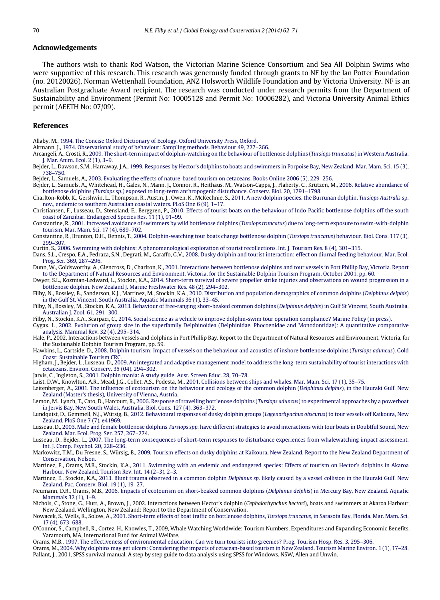#### **Acknowledgements**

The authors wish to thank Rod Watson, the Victorian Marine Science Consortium and Sea All Dolphin Swims who were supportive of this research. This research was generously funded through grants to NF by the Ian Potter Foundation (no. 20120026), Norman Wettenhall Foundation, ANZ Holsworth Wildlife Foundation and by Victoria University. NF is an Australian Postgraduate Award recipient. The research was conducted under research permits from the Department of Sustainability and Environment (Permit No: 10005128 and Permit No: 10006282), and Victoria University Animal Ethics permit (AEETH No: 07/09).

#### **References**

<span id="page-8-16"></span>Allaby, M., [1994. The Concise Oxford Dictionary of Ecology. Oxford University Press, Oxford.](http://refhub.elsevier.com/S2351-9894(14)00019-5/sbref1)

<span id="page-8-22"></span>Altmann, J., [1974. Observational study of behaviour: Sampling methods. Behaviour 49, 227–266.](http://refhub.elsevier.com/S2351-9894(14)00019-5/sbref2)

<span id="page-8-24"></span>Arcangeli, A., Crosti, R., [2009. The short-term impact of dolphin-watching on the behaviour of bottlenose dolphins \(](http://refhub.elsevier.com/S2351-9894(14)00019-5/sbref3)*Tursiops truncatus*) in Western Australia. J. Mar. Anim. Ecol. 2 (1), 3–9.

<span id="page-8-9"></span>Bejder, L., Dawson, S.M., Harraway, J.A., [1999. Responses by Hector's dolphins to boats and swimmers in Porpoise Bay, New Zealand. Mar. Mam. Sci. 15 \(3\),](http://refhub.elsevier.com/S2351-9894(14)00019-5/sbref4) 738–750.

<span id="page-8-37"></span>Bejder, L., Samuels, A., [2003. Evaluating the effects of nature-based tourism on cetaceans. Books Online 2006 \(5\), 229–256.](http://refhub.elsevier.com/S2351-9894(14)00019-5/sbref5)

<span id="page-8-13"></span>Bejder, [L., Samuels, A., Whitehead, H., Gales, N., Mann, J., Connor, R., Heithaus, M., Watson-Capps, J., Flaherty, C., Krützen, M.,](http://refhub.elsevier.com/S2351-9894(14)00019-5/sbref6) 2006. Relative abundance of bottlenose dolphins *(Tursiops sp.)* exposed to long-term anthropogenic disturbance. Conserv. Biol. 20, 1791–1798.

<span id="page-8-17"></span>Charlto[n-Robb, K., Gershwin, L., Thompson, R., Austin, J., Owen, K., McKechnie, S.,](http://refhub.elsevier.com/S2351-9894(14)00019-5/sbref7) 2011. A new dolphin species, the Burrunan dolphin, *Tursiops Australis* sp. nov., endemic to southern Australian coastal waters. PLoS One 6 (9), 1–17.

<span id="page-8-25"></span>Christiansen, F., Lusseau, D., Stensland, E., Berggren, P., [2010. Effects of tourist boats on the behaviour of Indo-Pacific bottlenose dolphins off the south](http://refhub.elsevier.com/S2351-9894(14)00019-5/sbref8) coast of Zanzibar. Endangered Species Res. 11 (1), 91–99.

- <span id="page-8-7"></span>Constantine, R., [2001. Increased avoidance of swimmers by wild bottlenose dolphins \(](http://refhub.elsevier.com/S2351-9894(14)00019-5/sbref9)*Tursiops truncatus*) due to long-term exposure to swim-with-dolphin tourism. Mar. Mam. Sci. 17 (4), 689–702.
- <span id="page-8-26"></span>Constantine, R., Brunton, D.H., Dennis, T., [2004. Dolphin-watching tour boats change bottlenose dolphin \(](http://refhub.elsevier.com/S2351-9894(14)00019-5/sbref10)*Tursiops truncatus*) behaviour. Biol. Cons. 117 (3), 299–307.

<span id="page-8-0"></span>Curtin, S., [2006. Swimming with dolphins: A phenomenological exploration of tourist recollections. Int. J. Tourism Res. 8 \(4\), 301–315.](http://refhub.elsevier.com/S2351-9894(14)00019-5/sbref11)

<span id="page-8-14"></span>Dans, S.L., Crespo, E.A., Pedraza, S.N., Degrati, M., Garaffo, G.V., [2008. Dusky dolphin and tourist interaction: effect on diurnal feeding behaviour. Mar. Ecol.](http://refhub.elsevier.com/S2351-9894(14)00019-5/sbref12) Prog. Ser. 369, 287–296.

<span id="page-8-19"></span>Dunn, W., Goldsworthy, A., Glencross, D., Charlton, K., 2001. Interactions between bottlenose dolphins and tour vessels in Port Phillip Bay, Victoria. Report to t[he Department of Natural Resources and Environment, Victoria, for the Sustainable Dolphin Tourism Program, October 2001, pp. 60.](http://refhub.elsevier.com/S2351-9894(14)00019-5/sbref13)

<span id="page-8-34"></span>Dwyer, S.L., Kozmian-Ledward, L., Stockin, K.A., [2014. Short-term survival of severe propeller strike injuries and observations on wound progression in a](http://refhub.elsevier.com/S2351-9894(14)00019-5/sbref14) bottlenose dolphin. New Zealand J. Marine Freshwater Res. 48 (2), 294–302.

- <span id="page-8-27"></span>Filby, N., Bossley, B., Sanderson, K.J., Martinez, M., Stockin, K.A., [2010. Distribution and population demographics of common dolphins \(](http://refhub.elsevier.com/S2351-9894(14)00019-5/sbref15)*Delphinus delphis*) in the Gulf St. Vincent, South Australia. Aquatic Mammals 36 (1), 33–45.
- <span id="page-8-21"></span>Filby, N., Bossley, M., Stockin, K.A., [2013. Behaviour of free-ranging short-beaked common dolphins \(](http://refhub.elsevier.com/S2351-9894(14)00019-5/sbref16)*Delphinus delphis*) in Gulf St Vincent, South Australia. Australian J. Zool. 61, 291–300.
- <span id="page-8-2"></span>Filby, N., Stockin, K.A., Scarpaci, C., [2014. Social science as a vehicle to improve dolphin-swim tour operation compliance? Marine Policy \(in press\).](http://refhub.elsevier.com/S2351-9894(14)00019-5/sbref17)

<span id="page-8-32"></span>Gygax, L., [2002. Evolution of group size in the superfamily Delphinoidea \(Delphinidae, Phocoenidae and Monodontidae\): A quantitative comparative](http://refhub.elsevier.com/S2351-9894(14)00019-5/sbref18) analysis. Mammal Rev. 32  $(4)$ , 295-314.

<span id="page-8-18"></span>Hale, P., 2002. Interactions between vessels and dolphins in Port Phillip Bay. Report to the Department of Natural Resources and Environment, Victoria, for the Sustainable Dolphin Tourism Program, pp. 59.

<span id="page-8-36"></span>Hawkins, L., Gartside, D., [2008. Dolphin tourism: Impact of vessels on the behaviour and acoustics of inshore bottlenose dolphins \(](http://refhub.elsevier.com/S2351-9894(14)00019-5/sbref20)*Tursiops aduncus*). Gold Coast: Sustainable Tourism CRC.

<span id="page-8-28"></span>Higham, J., Bejder, L., Lusseau, D., [2009. An integrated and adaptive management model to address the long-term sustainability of tourist interactions with](http://refhub.elsevier.com/S2351-9894(14)00019-5/sbref21) cetaceans. Environ. Conserv. 35 (04), 294–302.

<span id="page-8-20"></span>Jarvis, C., Ingleton, S., [2001. Dolphin mania: A study guide. Aust. Screen Educ. 28, 70–78.](http://refhub.elsevier.com/S2351-9894(14)00019-5/sbref22)

<span id="page-8-35"></span>Laist, D.W., Knowlton, A.R., Mead, J.G., Collet, A.S., Podesta, M., [2001. Collisions between ships and whales. Mar. Mam. Sci. 17 \(1\), 35–75.](http://refhub.elsevier.com/S2351-9894(14)00019-5/sbref23)

- <span id="page-8-33"></span>Leitenberger, A., [2001. The influence of ecotourism on the behaviour and ecology of the common dolphin \(](http://refhub.elsevier.com/S2351-9894(14)00019-5/sbref24)*Delphinus delphis*), in the Hauraki Gulf, New Zealand (Master's thesis), University of Vienna, Austria.
- <span id="page-8-5"></span>Lemon, M., Lynch, T., Cato, D., Harcourt, R., 2006. Response of travelling bottlenose dolphins (*Tursiops aduncus*) to experimental approaches by a powerboat in J[ervis Bay, New South Wales, Australia. Biol. Cons. 127 \(4\), 363–372.](http://refhub.elsevier.com/S2351-9894(14)00019-5/sbref25)
- <span id="page-8-29"></span>Lundquist, D., Gemmell, N.J., Würsig, B., [2012. Behavioural responses of dusky dolphin groups \(](http://refhub.elsevier.com/S2351-9894(14)00019-5/sbref26)*Lagenorhynchus obscurus*) to tour vessels off Kaikoura, New Zealand. PloS One 7 (7), e41969.
- <span id="page-8-6"></span>Lusseau, D., 2003. Male and female bottlenose dolphins *Tursiops spp.* [have different strategies to avoid interactions with tour boats in Doubtful Sound, New](http://refhub.elsevier.com/S2351-9894(14)00019-5/sbref27) Zealand. Mar. Ecol. Prog. Ser. 257, 267–274.
- <span id="page-8-15"></span>Lusseau, D., Bejder, L., [2007. The long-term consequences of short-term responses to disturbance experiences from whalewatching impact assessment.](http://refhub.elsevier.com/S2351-9894(14)00019-5/sbref28) Int. J. Comp. Psychol. 20, 228–236.

<span id="page-8-30"></span>Markowitz, T.M., Du Fresne, S., Würsig, B., [2009. Tourism effects on dusky dolphins at Kaikoura, New Zealand. Report to the New Zealand Department of](http://refhub.elsevier.com/S2351-9894(14)00019-5/sbref29) Conservation, Nelson.

<span id="page-8-10"></span>Martinez, E., Orams, M.B., Stockin, K.A., [2011. Swimming with an endemic and endangered species: Effects of tourism on Hector's dolphins in Akaroa](http://refhub.elsevier.com/S2351-9894(14)00019-5/sbref30) Harbour, New Zealand. Tourism Rev. Int. 14 (2–3), 2–3.

<span id="page-8-8"></span>Martinez, E., Stockin, K.A., 2013. Blunt trauma observed in a common dolphin *Delphinus sp.* [likely caused by a vessel collision in the Hauraki Gulf, New](http://refhub.elsevier.com/S2351-9894(14)00019-5/sbref31) Zealand. Pac. Conserv. Biol. 19 (1), 19–27.

<span id="page-8-11"></span>Neumann, D.R., Orams, M.B., [2006. Impacts of ecotourism on short-beaked common dolphins \(](http://refhub.elsevier.com/S2351-9894(14)00019-5/sbref32)*Delphinus delphis*) in Mercury Bay, New Zealand. Aquatic Mammals 32 (1), 1–9.

<span id="page-8-31"></span>Nichols, C., Stone, G., Hutt, A., Brown, J., 2002. Interactions between Hector's dolphin (*Cephalorhynchus hectori*), boats and swimmers at Akaroa Harbour, New Zealand. Wellington, New Zealand: Report to the Department of Conservation.

<span id="page-8-4"></span>Nowacek, S., Wells, R., Solow, A., [2001. Short-term effects of boat traffic on bottlenose dolphins,](http://refhub.elsevier.com/S2351-9894(14)00019-5/sbref34) *Tursiops truncatus*, in Sarasota Bay, Florida. Mar. Mam. Sci. 17 (4), 673–688.

<span id="page-8-3"></span>O'Connor, S., Campbell, R., Cortez, H., Knowles, T., 2009, Whale Watching Worldwide: Tourism Numbers, Expenditures and Expanding Economic Benefits. Yaramouth, MA, International Fund for Animal Welfare.

<span id="page-8-1"></span>Orams, M.B., [1997. The effectiveness of environmental education: Can we turn tourists into greenies? Prog. Tourism Hosp. Res. 3, 295–306.](http://refhub.elsevier.com/S2351-9894(14)00019-5/sbref36)

<span id="page-8-23"></span><span id="page-8-12"></span>Orams, M., [2004. Why dolphins may get ulcers: Considering the impacts of cetacean-based tourism in New Zealand. Tourism Marine Environ. 1 \(1\), 17–28.](http://refhub.elsevier.com/S2351-9894(14)00019-5/sbref37) Pallant, J., 2001, SPSS survival manual. A step by step guide to data analysis using SPSS for Windows. NSW, Allen and Unwin.